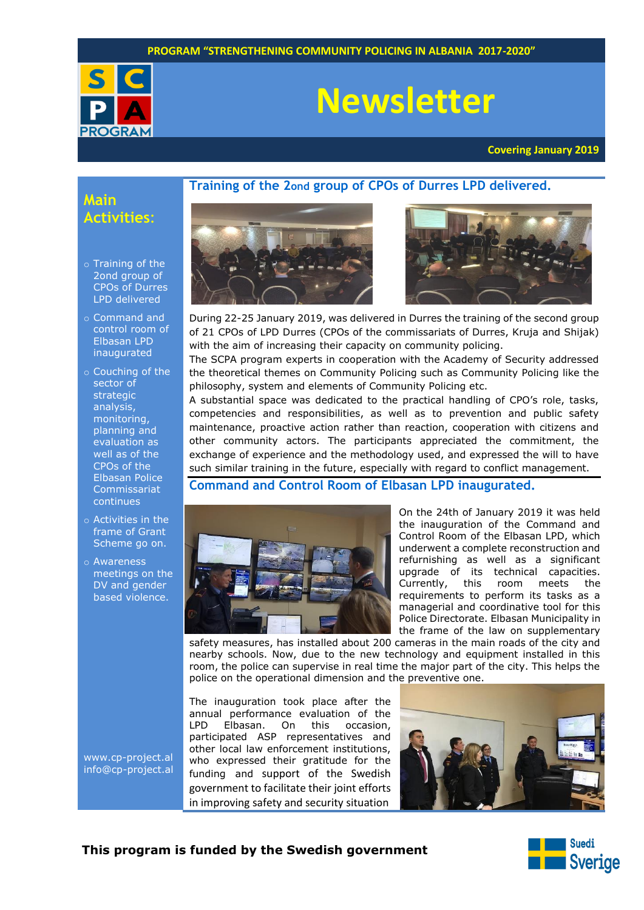

# **Newsletter**

**Training of the 2ond group of CPOs of Durres LPD delivered.**

**Covering January 2019**

# **Main Activities**:

- o Training of the 2ond group of CPOs of Durres LPD delivered
- o Command and control room of Elbasan LPD inaugurated
- o Couching of the sector of strategic analysis, monitoring, planning and evaluation as well as of the CPOs of the Elbasan Police Commissariat continues
- o Activities in the frame of Grant Scheme go on.
- o Awareness meetings on the DV and gender based violence.

[www.cp-project.al](http://www.cp-project.al/) [info@cp-project.al](mailto:info@cp-project.al)





During 22-25 January 2019, was delivered in Durres the training of the second group of 21 CPOs of LPD Durres (CPOs of the commissariats of Durres, Kruja and Shijak) with the aim of increasing their capacity on community policing.

The SCPA program experts in cooperation with the Academy of Security addressed the theoretical themes on Community Policing such as Community Policing like the philosophy, system and elements of Community Policing etc.

A substantial space was dedicated to the practical handling of CPO's role, tasks, competencies and responsibilities, as well as to prevention and public safety maintenance, proactive action rather than reaction, cooperation with citizens and other community actors. The participants appreciated the commitment, the exchange of experience and the methodology used, and expressed the will to have such similar training in the future, especially with regard to conflict management.

**Command and Control Room of Elbasan LPD inaugurated.**



On the 24th of January 2019 it was held the inauguration of the Command and Control Room of the Elbasan LPD, which underwent a complete reconstruction and refurnishing as well as a significant upgrade of its technical capacities. Currently, this room meets the requirements to perform its tasks as a managerial and coordinative tool for this Police Directorate. Elbasan Municipality in the frame of the law on supplementary

safety measures, has installed about 200 cameras in the main roads of the city and nearby schools. Now, due to the new technology and equipment installed in this room, the police can supervise in real time the major part of the city. This helps the police on the operational dimension and the preventive one.

The inauguration took place after the annual performance evaluation of the<br>LPD Elbasan. On this occasion. Elbasan. On this occasion, participated ASP representatives and other local law enforcement institutions, who expressed their gratitude for the funding and support of the Swedish government to facilitate their joint efforts in improving safety and security situation



# **This program is funded by the Swedish government**

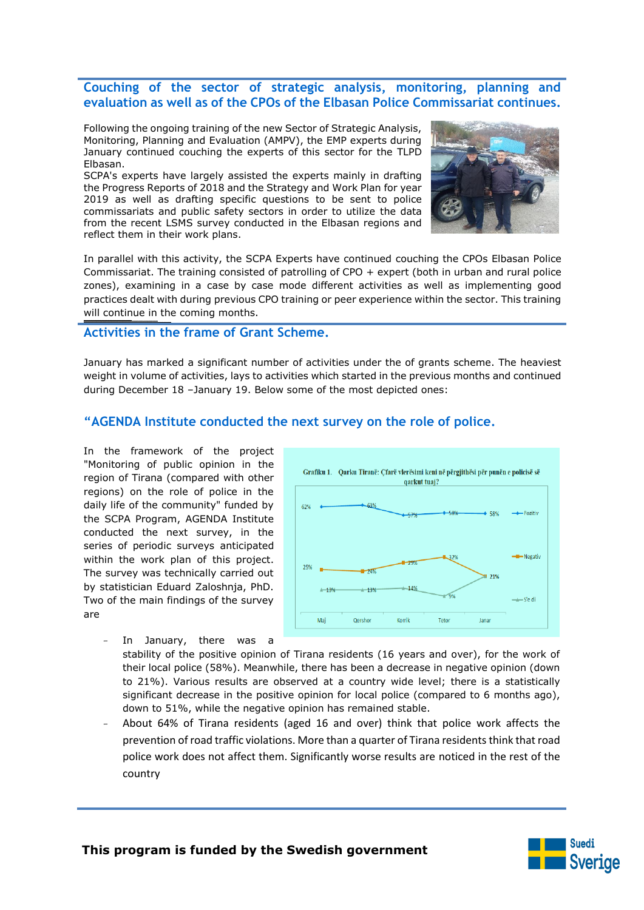# **Couching of the sector of strategic analysis, monitoring, planning and evaluation as well as of the CPOs of the Elbasan Police Commissariat continues.**

Following the ongoing training of the new Sector of Strategic Analysis, Monitoring, Planning and Evaluation (AMPV), the EMP experts during January continued couching the experts of this sector for the TLPD Elbasan.

SCPA's experts have largely assisted the experts mainly in drafting the Progress Reports of 2018 and the Strategy and Work Plan for year 2019 as well as drafting specific questions to be sent to police commissariats and public safety sectors in order to utilize the data from the recent LSMS survey conducted in the Elbasan regions and reflect them in their work plans.



In parallel with this activity, the SCPA Experts have continued couching the CPOs Elbasan Police Commissariat. The training consisted of patrolling of CPO + expert (both in urban and rural police zones), examining in a case by case mode different activities as well as implementing good practices dealt with during previous CPO training or peer experience within the sector. This training will continue in the coming months.

#### **Activities in the frame of Grant Scheme.**

the contract of the contract of the contract of the contract of the contract of

January has marked a significant number of activities under the of grants scheme. The heaviest weight in volume of activities, lays to activities which started in the previous months and continued during December 18 –January 19. Below some of the most depicted ones:

# **"AGENDA Institute conducted the next survey on the role of police.**

In the framework of the project "Monitoring of public opinion in the region of Tirana (compared with other regions) on the role of police in the daily life of the community" funded by the SCPA Program, AGENDA Institute conducted the next survey, in the series of periodic surveys anticipated within the work plan of this project. The survey was technically carried out by statistician Eduard Zaloshnja, PhD. Two of the main findings of the survey are



In January, there was a

stability of the positive opinion of Tirana residents (16 years and over), for the work of their local police (58%). Meanwhile, there has been a decrease in negative opinion (down to 21%). Various results are observed at a country wide level; there is a statistically significant decrease in the positive opinion for local police (compared to 6 months ago), down to 51%, while the negative opinion has remained stable.

– About 64% of Tirana residents (aged 16 and over) think that police work affects the prevention of road traffic violations. More than a quarter of Tirana residents think that road police work does not affect them. Significantly worse results are noticed in the rest of the country

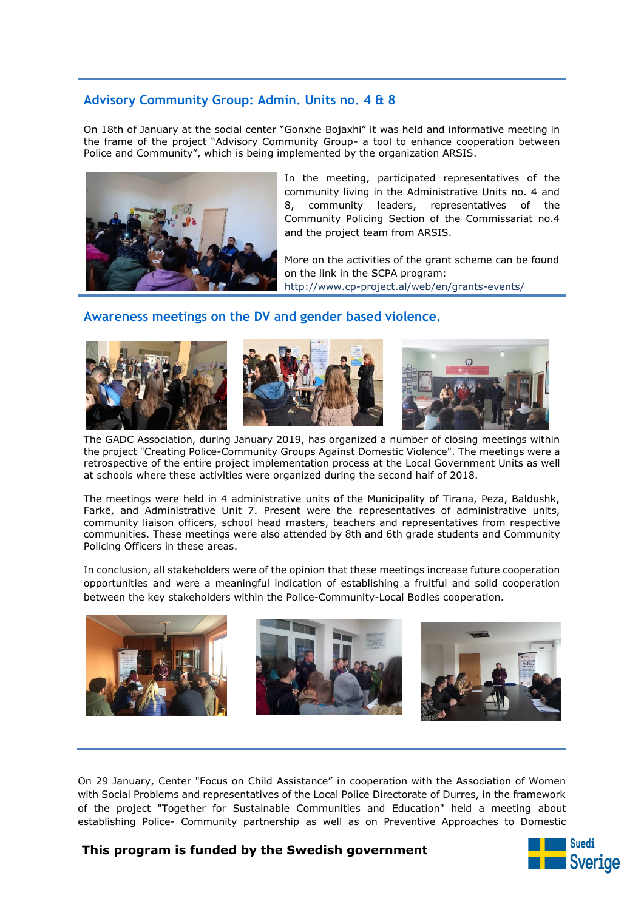# **Advisory Community Group: Admin. Units no. 4 & 8**

On 18th of January at the social center "Gonxhe Bojaxhi" it was held and informative meeting in the frame of the project "Advisory Community Group- a tool to enhance cooperation between Police and Community", which is being implemented by the organization ARSIS.



In the meeting, participated representatives of the community living in the Administrative Units no. 4 and 8, community leaders, representatives of the Community Policing Section of the Commissariat no.4 and the project team from ARSIS.

More on the activities of the grant scheme can be found on the link in the SCPA program: http://www.cp-project.al/web/en/grants-events/

# **Awareness meetings on the DV and gender based violence.**



The GADC Association, during January 2019, has organized a number of closing meetings within the project "Creating Police-Community Groups Against Domestic Violence". The meetings were a retrospective of the entire project implementation process at the Local Government Units as well at schools where these activities were organized during the second half of 2018.

The meetings were held in 4 administrative units of the Municipality of Tirana, Peza, Baldushk, Farkë, and Administrative Unit 7. Present were the representatives of administrative units, community liaison officers, school head masters, teachers and representatives from respective communities. These meetings were also attended by 8th and 6th grade students and Community Policing Officers in these areas.

In conclusion, all stakeholders were of the opinion that these meetings increase future cooperation opportunities and were a meaningful indication of establishing a fruitful and solid cooperation between the key stakeholders within the Police-Community-Local Bodies cooperation.



On 29 January, Center "Focus on Child Assistance" in cooperation with the Association of Women with Social Problems and representatives of the Local Police Directorate of Durres, in the framework of the project "Together for Sustainable Communities and Education" held a meeting about establishing Police- Community partnership as well as on Preventive Approaches to Domestic

# **This program is funded by the Swedish government**